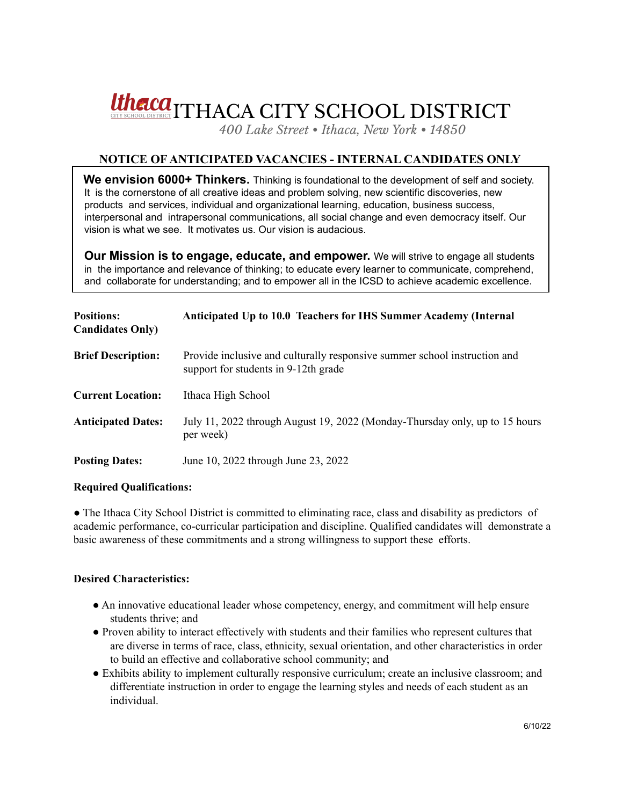# Utherca ITHACA CITY SCHOOL DISTRICT

*400 Lake Street • Ithaca, New York • 14850*

## **NOTICE OF ANTICIPATED VACANCIES - INTERNAL CANDIDATES ONLY**

We envision 6000+ Thinkers. Thinking is foundational to the development of self and society. It is the cornerstone of all creative ideas and problem solving, new scientific discoveries, new products and services, individual and organizational learning, education, business success, interpersonal and intrapersonal communications, all social change and even democracy itself. Our vision is what we see. It motivates us. Our vision is audacious.

**Our Mission is to engage, educate, and empower.** We will strive to engage all students in the importance and relevance of thinking; to educate every learner to communicate, comprehend, and collaborate for understanding; and to empower all in the ICSD to achieve academic excellence.

| <b>Positions:</b><br><b>Candidates Only</b> ) | Anticipated Up to 10.0 Teachers for IHS Summer Academy (Internal                                                  |
|-----------------------------------------------|-------------------------------------------------------------------------------------------------------------------|
| <b>Brief Description:</b>                     | Provide inclusive and culturally responsive summer school instruction and<br>support for students in 9-12th grade |
| <b>Current Location:</b>                      | Ithaca High School                                                                                                |
| <b>Anticipated Dates:</b>                     | July 11, 2022 through August 19, 2022 (Monday-Thursday only, up to 15 hours<br>per week)                          |
| <b>Posting Dates:</b>                         | June 10, 2022 through June 23, 2022                                                                               |

#### **Required Qualifications:**

• The Ithaca City School District is committed to eliminating race, class and disability as predictors of academic performance, co-curricular participation and discipline. Qualified candidates will demonstrate a basic awareness of these commitments and a strong willingness to support these efforts.

### **Desired Characteristics:**

- An innovative educational leader whose competency, energy, and commitment will help ensure students thrive; and
- Proven ability to interact effectively with students and their families who represent cultures that are diverse in terms of race, class, ethnicity, sexual orientation, and other characteristics in order to build an effective and collaborative school community; and
- Exhibits ability to implement culturally responsive curriculum; create an inclusive classroom; and differentiate instruction in order to engage the learning styles and needs of each student as an individual.